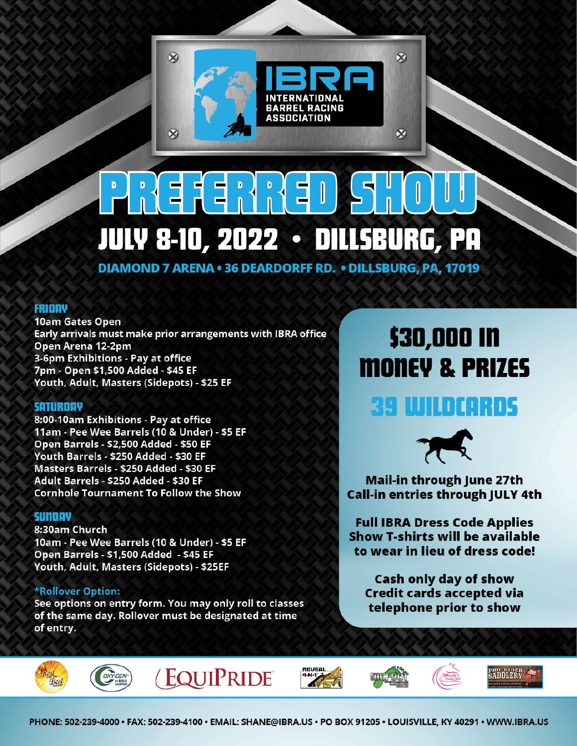

# J **JULY 8-10, 2022 • DILLSBURG, PR**

**DIAMOND 7 ARENA . 36 DEARDORFF RD. . DILLSBURG, PA, 17019** 

## **FRIDAY**

10am Gates Open Early arrivals must make prior arrangements with IBRA office Open Arena 12-2pm 3-6pm Exhibitions - Pay at office 7pm - Open \$1,500 Added - \$45 EF Youth, Adult, Masters (Sidepots) - \$25 EF

### **SATURDAY**

8:00-10am Exhibitions - Pay at office 11am - Pee Wee Barrels (10 & Under) - \$5 EF Open Barrels - \$2,500 Added - \$50 EF Youth Barrels - \$250 Added - \$30 EF Masters Barrels - \$250 Added - \$30 EF Adult Barrels - \$250 Added - \$30 EF **Cornhole Tournament To Follow the Show** 

#### **SUNDAY**

8:30am Church 10am - Pee Wee Barrels (10 & Under) - \$5 EF Open Barrels - \$1,500 Added - \$45 EF Youth, Adult, Masters (Sidepots) - \$25EF

### \*Rollover Option:

See options on entry form. You may only roll to classes of the same day. Rollover must be designated at time of entry.

# \$30,000 IN **MONEY & PRIZES**

# 39 WILDCORDS



**Mail-in through June 27th Call-in entries through JULY 4th** 

**Full IBRA Dress Code Applies** Show T-shirts will be available to wear in lieu of dress code!

Cash only day of show **Credit cards accepted via** telephone prior to show